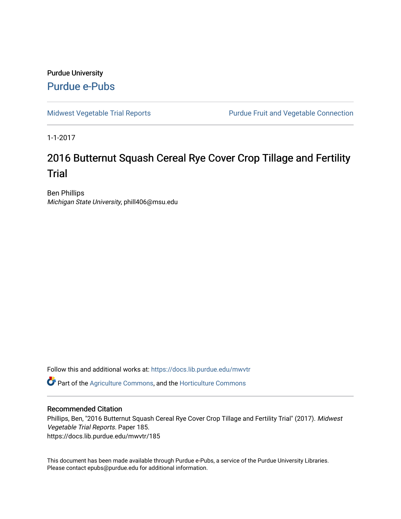## Purdue University [Purdue e-Pubs](https://docs.lib.purdue.edu/)

[Midwest Vegetable Trial Reports](https://docs.lib.purdue.edu/mwvtr) **Purdue Fruit and Vegetable Connection** 

1-1-2017

# 2016 Butternut Squash Cereal Rye Cover Crop Tillage and Fertility **Trial**

Ben Phillips Michigan State University, phill406@msu.edu

Follow this and additional works at: [https://docs.lib.purdue.edu/mwvtr](https://docs.lib.purdue.edu/mwvtr?utm_source=docs.lib.purdue.edu%2Fmwvtr%2F185&utm_medium=PDF&utm_campaign=PDFCoverPages) 

Part of the [Agriculture Commons](http://network.bepress.com/hgg/discipline/1076?utm_source=docs.lib.purdue.edu%2Fmwvtr%2F185&utm_medium=PDF&utm_campaign=PDFCoverPages), and the [Horticulture Commons](http://network.bepress.com/hgg/discipline/105?utm_source=docs.lib.purdue.edu%2Fmwvtr%2F185&utm_medium=PDF&utm_campaign=PDFCoverPages) 

#### Recommended Citation

Phillips, Ben, "2016 Butternut Squash Cereal Rye Cover Crop Tillage and Fertility Trial" (2017). Midwest Vegetable Trial Reports. Paper 185. https://docs.lib.purdue.edu/mwvtr/185

This document has been made available through Purdue e-Pubs, a service of the Purdue University Libraries. Please contact epubs@purdue.edu for additional information.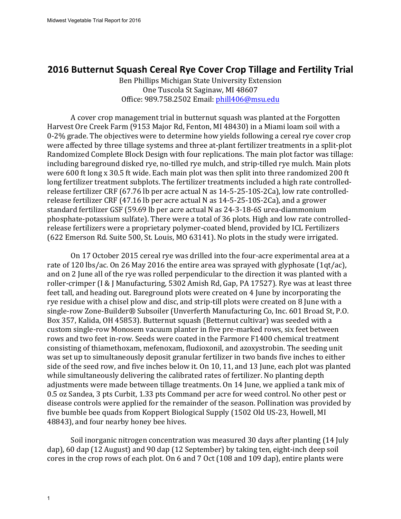### **2016 Butternut Squash Cereal Rye Cover Crop Tillage and Fertility Trial**

 Ben Phillips Michigan State University Extension One Tuscola St Saginaw, MI 48607 Office: 989.758.2502 Email: [phill406@msu.edu](mailto:phill406@msu.edu)

A cover crop management trial in butternut squash was planted at the Forgotten were affected by three tillage systems and three at-plant fertilizer treatments in a split-plot including bareground disked rye, no-tilled rye mulch, and strip-tilled rye mulch. Main plots release fertilizer CRF (47.16 lb per acre actual N as 14-5-25-10S-2Ca), and a grower release fertilizers were a proprietary polymer-coated blend, provided by ICL Fertilizers Harvest Ore Creek Farm (9153 Major Rd, Fenton, MI 48430) in a Miami loam soil with a 0-2% grade. The objectives were to determine how yields following a cereal rye cover crop Randomized Complete Block Design with four replications. The main plot factor was tillage: were 600 ft long x 30.5 ft wide. Each main plot was then split into three randomized 200 ft long fertilizer treatment subplots. The fertilizer treatments included a high rate controlledrelease fertilizer CRF (67.76 lb per acre actual N as 14-5-25-10S-2Ca), low rate controlledstandard fertilizer GSF (59.69 lb per acre actual N as 24-3-18-6S urea-diammonium phosphate-potassium sulfate). There were a total of 36 plots. High and low rate controlled-(622 Emerson Rd. Suite 500, St. Louis, MO 63141). No plots in the study were irrigated.

rate of 120 lbs/ac. On 26 May 2016 the entire area was sprayed with glyphosate (1qt/ac), and on 2 June all of the rye was rolled perpendicular to the direction it was planted with a feet tall, and heading out. Bareground plots were created on 4 June by incorporating the rye residue with a chisel plow and disc, and strip-till plots were created on 8 June with a Box 357, Kalida, OH 45853). Butternut squash (Betternut cultivar) was seeded with a was set up to simultaneously deposit granular fertilizer in two bands five inches to either side of the seed row, and five inches below it. On 10, 11, and 13 June, each plot was planted while simultaneously delivering the calibrated rates of fertilizer. No planting depth 0.5 oz Sandea, 3 pts Curbit, 1.33 pts Command per acre for weed control. No other pest or On 17 October 2015 cereal rye was drilled into the four-acre experimental area at a roller-crimper (I & J Manufacturing, 5302 Amish Rd, Gap, PA 17527). Rye was at least three single-row Zone-Builder® Subsoiler (Unverferth Manufacturing Co, Inc. 601 Broad St, P.O. custom single-row Monosem vacuum planter in five pre-marked rows, six feet between rows and two feet in-row. Seeds were coated in the Farmore F1400 chemical treatment consisting of thiamethoxam, mefenoxam, fludioxonil, and azoxystrobin. The seeding unit adjustments were made between tillage treatments. On 14 June, we applied a tank mix of disease controls were applied for the remainder of the season. Pollination was provided by five bumble bee quads from Koppert Biological Supply (1502 Old US-23, Howell, MI 48843), and four nearby honey bee hives.

dap), 60 dap (12 August) and 90 dap (12 September) by taking ten, eight-inch deep soil Soil inorganic nitrogen concentration was measured 30 days after planting (14 July cores in the crop rows of each plot. On 6 and 7 Oct  $(108 \text{ and } 109 \text{ day})$ , entire plants were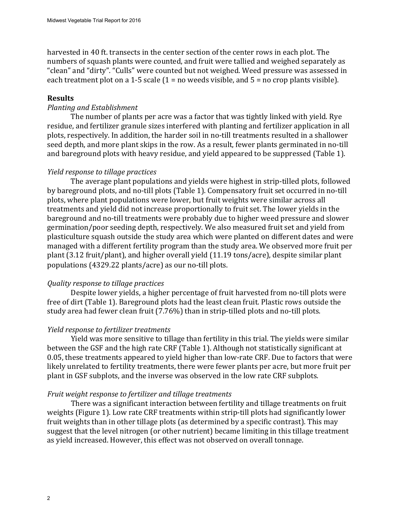"clean" and "dirty". "Culls" were counted but not weighed. Weed pressure was assessed in harvested in 40 ft. transects in the center section of the center rows in each plot. The numbers of squash plants were counted, and fruit were tallied and weighed separately as each treatment plot on a 1-5 scale  $(1 = no$  weeds visible, and  $5 = no$  crop plants visible).

#### **Results**

#### *Planting and Establishment*

plots, respectively. In addition, the harder soil in no-till treatments resulted in a shallower and bareground plots with heavy residue, and yield appeared to be suppressed (Table 1). The number of plants per acre was a factor that was tightly linked with yield. Rye residue, and fertilizer granule sizes interfered with planting and fertilizer application in all seed depth, and more plant skips in the row. As a result, fewer plants germinated in no-till

#### *Yield response to tillage practices*

The average plant populations and yields were highest in strip-tilled plots, followed plasticulture squash outside the study area which were planted on different dates and were populations (4329.22 plants/acre) as our no-till plots. by bareground plots, and no-till plots (Table 1). Compensatory fruit set occurred in no-till plots, where plant populations were lower, but fruit weights were similar across all treatments and yield did not increase proportionally to fruit set. The lower yields in the bareground and no-till treatments were probably due to higher weed pressure and slower germination/poor seeding depth, respectively. We also measured fruit set and yield from managed with a different fertility program than the study area. We observed more fruit per plant (3.12 fruit/plant), and higher overall yield (11.19 tons/acre), despite similar plant

#### *<u>Quality response to tillage practices</u>*

Despite lower yields, a higher percentage of fruit harvested from no-till plots were free of dirt (Table 1). Bareground plots had the least clean fruit. Plastic rows outside the study area had fewer clean fruit (7.76%) than in strip-tilled plots and no-till plots.

#### *Yield response to fertilizer treatments*

between the GSF and the high rate CRF (Table 1). Although not statistically significant at 0.05, these treatments appeared to yield higher than low-rate CRF. Due to factors that were Yield was more sensitive to tillage than fertility in this trial. The yields were similar likely unrelated to fertility treatments, there were fewer plants per acre, but more fruit per plant in GSF subplots, and the inverse was observed in the low rate CRF subplots.

#### *Fruit* weight response to fertilizer and tillage treatments

weights (Figure 1). Low rate CRF treatments within strip-till plots had significantly lower as yield increased. However, this effect was not observed on overall tonnage. There was a significant interaction between fertility and tillage treatments on fruit fruit weights than in other tillage plots (as determined by a specific contrast). This may suggest that the level nitrogen (or other nutrient) became limiting in this tillage treatment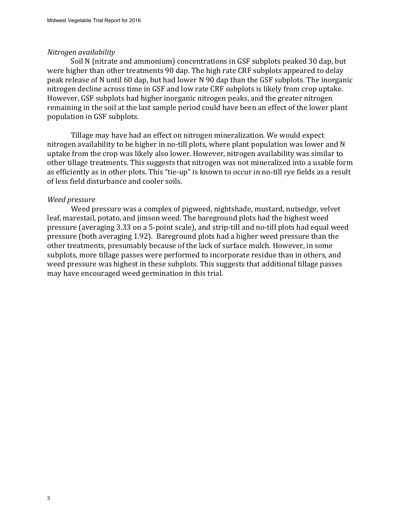#### *Nitrogen availability*

Soil N (nitrate and ammonium) concentrations in GSF subplots peaked 30 dap, but were higher than other treatments 90 dap. The high rate CRF subplots appeared to delay peak release of N until 60 dap, but had lower N 90 dap than the GSF subplots. The inorganic nitrogen decline across time in GSF and low rate CRF subplots is likely from crop uptake. However, GSF subplots had higher inorganic nitrogen peaks, and the greater nitrogen remaining in the soil at the last sample period could have been an effect of the lower plant population in GSF subplots.

nitrogen availability to be higher in no-till plots, where plant population was lower and N uptake from the crop was likely also lower. However, nitrogen availability was similar to as efficiently as in other plots. This "tie-up" is known to occur in no-till rye fields as a result Tillage may have had an effect on nitrogen mineralization. We would expect other tillage treatments. This suggests that nitrogen was not mineralized into a usable form of less field disturbance and cooler soils.

#### *Weed pressure*

Weed pressure was a complex of pigweed, nightshade, mustard, nutsedge, velvet leaf, marestail, potato, and jimson weed. The bareground plots had the highest weed pressure (averaging 3.33 on a 5-point scale), and strip-till and no-till plots had equal weed pressure (both averaging 1.92). Bareground plots had a higher weed pressure than the other treatments, presumably because of the lack of surface mulch. However, in some subplots, more tillage passes were performed to incorporate residue than in others, and weed pressure was highest in these subplots. This suggests that additional tillage passes may have encouraged weed germination in this trial.